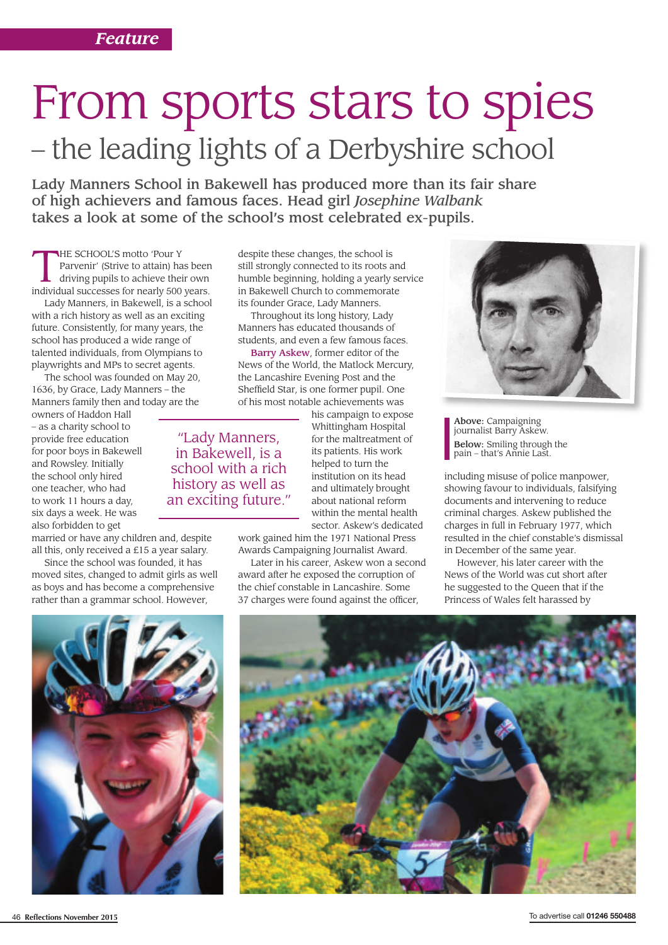## From sports stars to spies – the leading lights of a Derbyshire school

Lady Manners School in Bakewell has produced more than its fair share of high achievers and famous faces. Head girl *Josephine Walbank* takes a look at some of the school's most celebrated ex-pupils.

THE SCHOOL'S motto 'Pour Y<br>
Parvenir' (Strive to attain) has been<br>
driving pupils to achieve their own<br>
individual successes for nearly 500 years Parvenir' (Strive to attain) has been individual successes for nearly 500 years.

Lady Manners, in Bakewell, is a school with a rich history as well as an exciting future. Consistently, for many years, the school has produced a wide range of talented individuals, from Olympians to playwrights and MPs to secret agents.

The school was founded on May 20, 1636, by Grace, Lady Manners – the Manners family then and today are the

owners of Haddon Hall – as a charity school to provide free education for poor boys in Bakewell and Rowsley. Initially the school only hired one teacher, who had to work 11 hours a day, six days a week. He was also forbidden to get

married or have any children and, despite all this, only received a £15 a year salary.

Since the school was founded, it has moved sites, changed to admit girls as well as boys and has become a comprehensive rather than a grammar school. However,

despite these changes, the school is still strongly connected to its roots and humble beginning, holding a yearly service in Bakewell Church to commemorate its founder Grace, Lady Manners.

Throughout its long history, Lady Manners has educated thousands of students, and even a few famous faces.

Barry Askew, former editor of the News of the World, the Matlock Mercury, the Lancashire Evening Post and the Sheffield Star, is one former pupil. One of his most notable achievements was

> his campaign to expose Whittingham Hospital for the maltreatment of its patients. His work helped to turn the institution on its head and ultimately brought about national reform within the mental health sector. Askew's dedicated

work gained him the 1971 National Press Awards Campaigning Journalist Award.

Later in his career, Askew won a second award after he exposed the corruption of the chief constable in Lancashire. Some 37 charges were found against the officer,



**Above:** Campaigning<br>journalist Barry Askew. Below: Smiling through the pain – that's Annie Last.

including misuse of police manpower, showing favour to individuals, falsifying documents and intervening to reduce criminal charges. Askew published the charges in full in February 1977, which resulted in the chief constable's dismissal in December of the same year.

However, his later career with the News of the World was cut short after he suggested to the Queen that if the Princess of Wales felt harassed by



"Lady Manners,

in Bakewell, is a school with a rich history as well as an exciting future."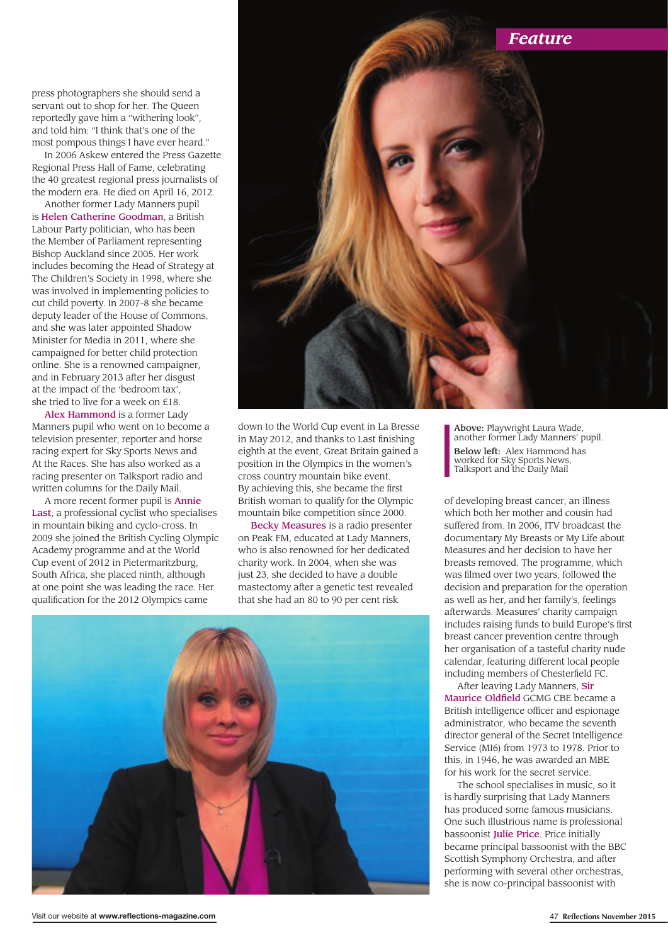press photographers she should send a servant out to shop for her. The Queen reportedly gave him a "withering look", and told him: "I think that's one of the most pompous things I have ever heard."

In 2006 Askew entered the Press Gazette Regional Press Hall of Fame, celebrating the 40 greatest regional press journalists of the modern era. He died on April 16, 2012.

Another former Lady Manners pupil is Helen Catherine Goodman, a British Labour Party politician, who has been the Member of Parliament representing Bishop Auckland since 2005. Her work includes becoming the Head of Strategy at The Children's Society in 1998, where she was involved in implementing policies to cut child poverty. In 2007-8 she became deputy leader of the House of Commons, and she was later appointed Shadow Minister for Media in 2011, where she campaigned for better child protection online. She is a renowned campaigner, and in February 2013 after her disgust at the impact of the 'bedroom tax', she tried to live for a week on £18.

Alex Hammond is a former Lady Manners pupil who went on to become a television presenter, reporter and horse racing expert for Sky Sports News and At the Races. She has also worked as a racing presenter on Talksport radio and written columns for the Daily Mail.

A more recent former pupil is Annie Last, a professional cyclist who specialises in mountain biking and cyclo-cross. In 2009 she joined the British Cycling Olympic Academy programme and at the World Cup event of 2012 in Pietermaritzburg, South Africa, she placed ninth, although at one point she was leading the race. Her qualification for the 2012 Olympics came



down to the World Cup event in La Bresse in May 2012, and thanks to Last finishing eighth at the event, Great Britain gained a position in the Olympics in the women's cross country mountain bike event. By achieving this, she became the first British woman to qualify for the Olympic mountain bike competition since 2000.

Becky Measures is a radio presenter on Peak FM, educated at Lady Manners, who is also renowned for her dedicated charity work. In 2004, when she was just 23, she decided to have a double mastectomy after a genetic test revealed that she had an 80 to 90 per cent risk

Above: Playwright Laura Wade, another former Lady Manners' pupil. Below left: Alex Hammond has worked for Sky Sports News, Talksport and the Daily Mail

of developing breast cancer, an illness which both her mother and cousin had suffered from. In 2006, ITV broadcast the documentary My Breasts or My Life about Measures and her decision to have her breasts removed. The programme, which was filmed over two years, followed the decision and preparation for the operation as well as her, and her family's, feelings afterwards. Measures' charity campaign includes raising funds to build Europe's first breast cancer prevention centre through her organisation of a tasteful charity nude calendar, featuring different local people including members of Chesterfield FC.

After leaving Lady Manners, Sir Maurice Oldfield GCMG CBE became a British intelligence officer and espionage administrator, who became the seventh director general of the Secret Intelligence Service (MI6) from 1973 to 1978. Prior to this, in 1946, he was awarded an MBE for his work for the secret service.

The school specialises in music, so it is hardly surprising that Lady Manners has produced some famous musicians. One such illustrious name is professional bassoonist Julie Price. Price initially became principal bassoonist with the BBC Scottish Symphony Orchestra, and after performing with several other orchestras, she is now co-principal bassoonist with